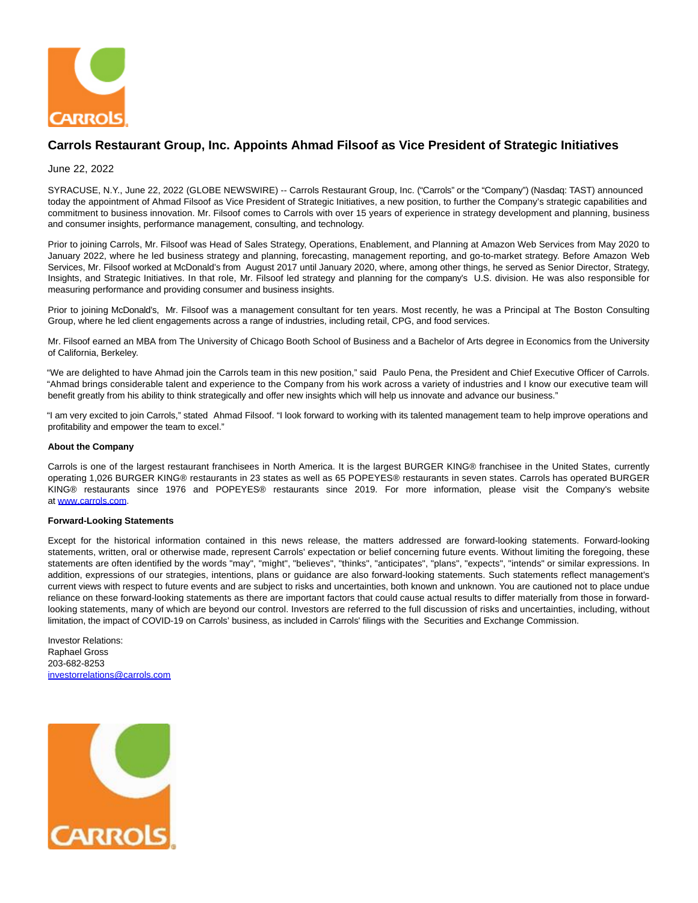

## **Carrols Restaurant Group, Inc. Appoints Ahmad Filsoof as Vice President of Strategic Initiatives**

## June 22, 2022

SYRACUSE, N.Y., June 22, 2022 (GLOBE NEWSWIRE) -- Carrols Restaurant Group, Inc. ("Carrols" or the "Company") (Nasdaq: TAST) announced today the appointment of Ahmad Filsoof as Vice President of Strategic Initiatives, a new position, to further the Company's strategic capabilities and commitment to business innovation. Mr. Filsoof comes to Carrols with over 15 years of experience in strategy development and planning, business and consumer insights, performance management, consulting, and technology.

Prior to joining Carrols, Mr. Filsoof was Head of Sales Strategy, Operations, Enablement, and Planning at Amazon Web Services from May 2020 to January 2022, where he led business strategy and planning, forecasting, management reporting, and go-to-market strategy. Before Amazon Web Services, Mr. Filsoof worked at McDonald's from August 2017 until January 2020, where, among other things, he served as Senior Director, Strategy, Insights, and Strategic Initiatives. In that role, Mr. Filsoof led strategy and planning for the company's U.S. division. He was also responsible for measuring performance and providing consumer and business insights.

Prior to joining McDonald's, Mr. Filsoof was a management consultant for ten years. Most recently, he was a Principal at The Boston Consulting Group, where he led client engagements across a range of industries, including retail, CPG, and food services.

Mr. Filsoof earned an MBA from The University of Chicago Booth School of Business and a Bachelor of Arts degree in Economics from the University of California, Berkeley.

"We are delighted to have Ahmad join the Carrols team in this new position," said Paulo Pena, the President and Chief Executive Officer of Carrols. "Ahmad brings considerable talent and experience to the Company from his work across a variety of industries and I know our executive team will benefit greatly from his ability to think strategically and offer new insights which will help us innovate and advance our business."

"I am very excited to join Carrols," stated Ahmad Filsoof. "I look forward to working with its talented management team to help improve operations and profitability and empower the team to excel."

## **About the Company**

Carrols is one of the largest restaurant franchisees in North America. It is the largest BURGER KING® franchisee in the United States, currently operating 1,026 BURGER KING® restaurants in 23 states as well as 65 POPEYES® restaurants in seven states. Carrols has operated BURGER KING® restaurants since 1976 and POPEYES® restaurants since 2019. For more information, please visit the Company's website at [www.carrols.com.](https://www.globenewswire.com/Tracker?data=RbiYQmQ0GPTifJTPTIdFrpgpEcIhm-DsDBHsn9NoHS7aCZYhKIoa0ujKtvwbPKsp0X_bd8rWMYVhIugp2NjlPQ==)

## **Forward-Looking Statements**

Except for the historical information contained in this news release, the matters addressed are forward-looking statements. Forward-looking statements, written, oral or otherwise made, represent Carrols' expectation or belief concerning future events. Without limiting the foregoing, these statements are often identified by the words "may", "might", "believes", "thinks", "anticipates", "plans", "expects", "intends" or similar expressions. In addition, expressions of our strategies, intentions, plans or guidance are also forward-looking statements. Such statements reflect management's current views with respect to future events and are subject to risks and uncertainties, both known and unknown. You are cautioned not to place undue reliance on these forward-looking statements as there are important factors that could cause actual results to differ materially from those in forwardlooking statements, many of which are beyond our control. Investors are referred to the full discussion of risks and uncertainties, including, without limitation, the impact of COVID-19 on Carrols' business, as included in Carrols' filings with the Securities and Exchange Commission.

Investor Relations: Raphael Gross 203-682-8253 [investorrelations@carrols.com](https://www.globenewswire.com/Tracker?data=dUQUeoNz8oBRA9p6Rl6HU56hss2B6Ho-zfyEQL5GX_Or19G9DXdJ2lDcBMCOy5PVS3HISGFVKwq--3ePbPcENCPOYLb0QXB0Fh8VWuuT6XKt04vccgAbxfvf6UPxFHil)